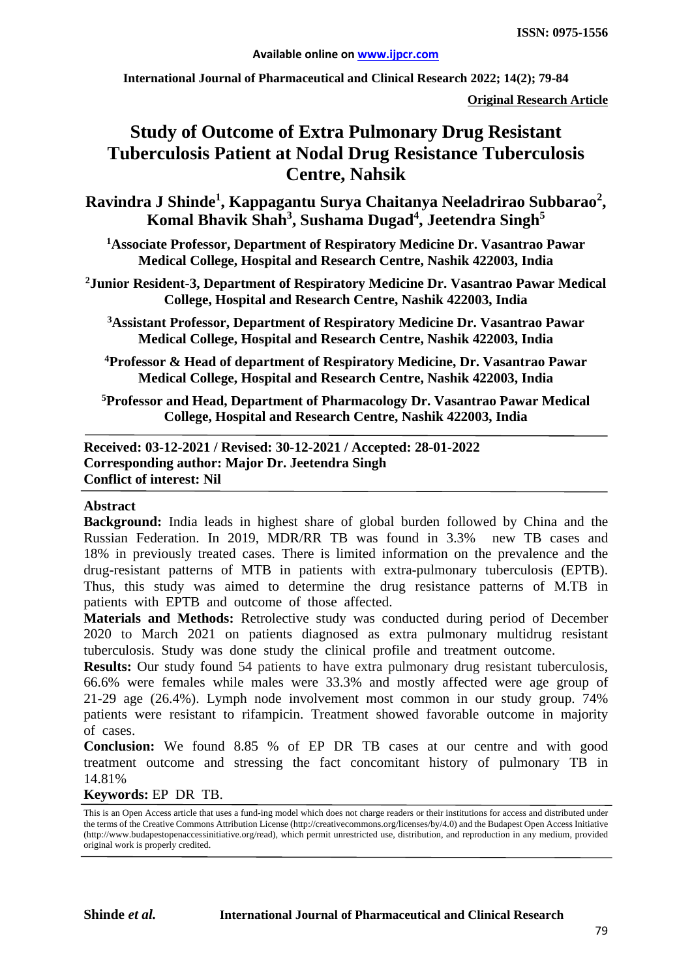**International Journal of Pharmaceutical and Clinical Research 2022; 14(2); 79-84**

**Original Research Article**

# **Study of Outcome of Extra Pulmonary Drug Resistant Tuberculosis Patient at Nodal Drug Resistance Tuberculosis Centre, Nahsik**

**Ravindra J Shinde1 , Kappagantu Surya Chaitanya Neeladrirao Subbarao<sup>2</sup> , Komal Bhavik Shah3 , Sushama Dugad4 , Jeetendra Singh5**

**1 Associate Professor, Department of Respiratory Medicine Dr. Vasantrao Pawar Medical College, Hospital and Research Centre, Nashik 422003, India**

**2 Junior Resident-3, Department of Respiratory Medicine Dr. Vasantrao Pawar Medical College, Hospital and Research Centre, Nashik 422003, India**

**3 Assistant Professor, Department of Respiratory Medicine Dr. Vasantrao Pawar Medical College, Hospital and Research Centre, Nashik 422003, India**

**4Professor & Head of department of Respiratory Medicine, Dr. Vasantrao Pawar Medical College, Hospital and Research Centre, Nashik 422003, India**

**5Professor and Head, Department of Pharmacology Dr. Vasantrao Pawar Medical College, Hospital and Research Centre, Nashik 422003, India**

**Received: 03-12-2021 / Revised: 30-12-2021 / Accepted: 28-01-2022 Corresponding author: Major Dr. Jeetendra Singh Conflict of interest: Nil**

#### **Abstract**

**Background:** India leads in highest share of global burden followed by China and the Russian Federation. In 2019, MDR/RR TB was found in 3.3% new TB cases and 18% in previously treated cases. There is limited information on the prevalence and the drug-resistant patterns of MTB in patients with extra-pulmonary tuberculosis (EPTB). Thus, this study was aimed to determine the drug resistance patterns of M.TB in patients with EPTB and outcome of those affected.

**Materials and Methods:** Retrolective study was conducted during period of December 2020 to March 2021 on patients diagnosed as extra pulmonary multidrug resistant tuberculosis. Study was done study the clinical profile and treatment outcome.

**Results:** Our study found 54 patients to have extra pulmonary drug resistant tuberculosis, 66.6% were females while males were 33.3% and mostly affected were age group of 21-29 age (26.4%). Lymph node involvement most common in our study group. 74% patients were resistant to rifampicin. Treatment showed favorable outcome in majority of cases.

**Conclusion:** We found 8.85 % of EP DR TB cases at our centre and with good treatment outcome and stressing the fact concomitant history of pulmonary TB in 14.81%

**Keywords:** EP DR TB.

This is an Open Access article that uses a fund-ing model which does not charge readers or their institutions for access and distributed under the terms of the Creative Commons Attribution License (http://creativecommons.org/licenses/by/4.0) and the Budapest Open Access Initiative (http://www.budapestopenaccessinitiative.org/read), which permit unrestricted use, distribution, and reproduction in any medium, provided original work is properly credited.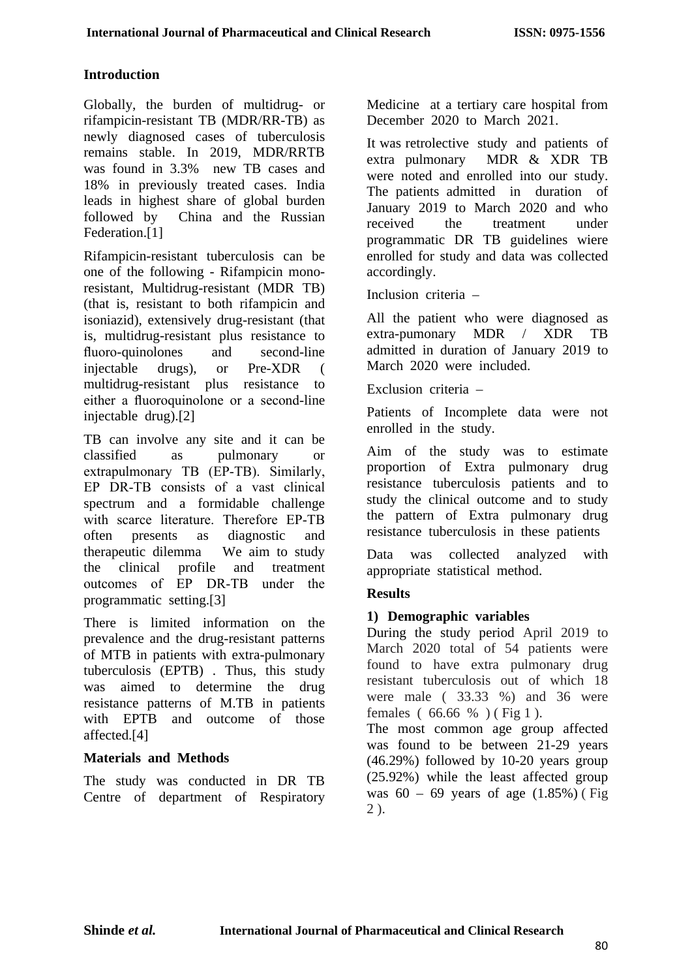## **Introduction**

Globally, the burden of multidrug- or rifampicin-resistant TB (MDR/RR-TB) as newly diagnosed cases of tuberculosis remains stable. In 2019, MDR/RRTB was found in 3.3% new TB cases and 18% in previously treated cases. India leads in highest share of global burden followed by China and the Russian Federation.[1]

Rifampicin-resistant tuberculosis can be one of the following - Rifampicin monoresistant, Multidrug-resistant (MDR TB) (that is, resistant to both rifampicin and isoniazid), extensively drug-resistant (that is, multidrug-resistant plus resistance to fluoro-quinolones and second-line injectable drugs), or Pre-XDR ( multidrug-resistant plus resistance to either a fluoroquinolone or a second-line injectable drug).[2]

TB can involve any site and it can be classified as pulmonary or extrapulmonary TB (EP-TB). Similarly, EP DR‑TB consists of a vast clinical spectrum and a formidable challenge with scarce literature. Therefore EP-TB often presents as diagnostic and therapeutic dilemma We aim to study the clinical profile and treatment outcomes of EP DR‑TB under the programmatic setting.[3]

There is limited information on the prevalence and the drug-resistant patterns of MTB in patients with extra-pulmonary tuberculosis (EPTB) . Thus, this study was aimed to determine the drug resistance patterns of M.TB in patients with EPTB and outcome of those affected.[4]

## **Materials and Methods**

The study was conducted in DR TB Centre of department of Respiratory Medicine at a tertiary care hospital from December 2020 to March 2021.

It was retrolective study and patients of extra pulmonary MDR & XDR TB were noted and enrolled into our study. The patients admitted in duration of January 2019 to March 2020 and who received the treatment under programmatic DR TB guidelines wiere enrolled for study and data was collected accordingly.

Inclusion criteria –

All the patient who were diagnosed as extra-pumonary MDR / XDR TB admitted in duration of January 2019 to March 2020 were included.

Exclusion criteria –

Patients of Incomplete data were not enrolled in the study.

Aim of the study was to estimate proportion of Extra pulmonary drug resistance tuberculosis patients and to study the clinical outcome and to study the pattern of Extra pulmonary drug resistance tuberculosis in these patients

Data was collected analyzed with appropriate statistical method.

# **Results**

## **1) Demographic variables**

During the study period April 2019 to March 2020 total of 54 patients were found to have extra pulmonary drug resistant tuberculosis out of which 18 were male ( 33.33 %) and 36 were females ( 66.66 % ) ( Fig 1 ).

The most common age group affected was found to be between 21-29 years (46.29%) followed by 10-20 years group (25.92%) while the least affected group was  $60 - 69$  years of age  $(1.85%)$  (Fig 2 ).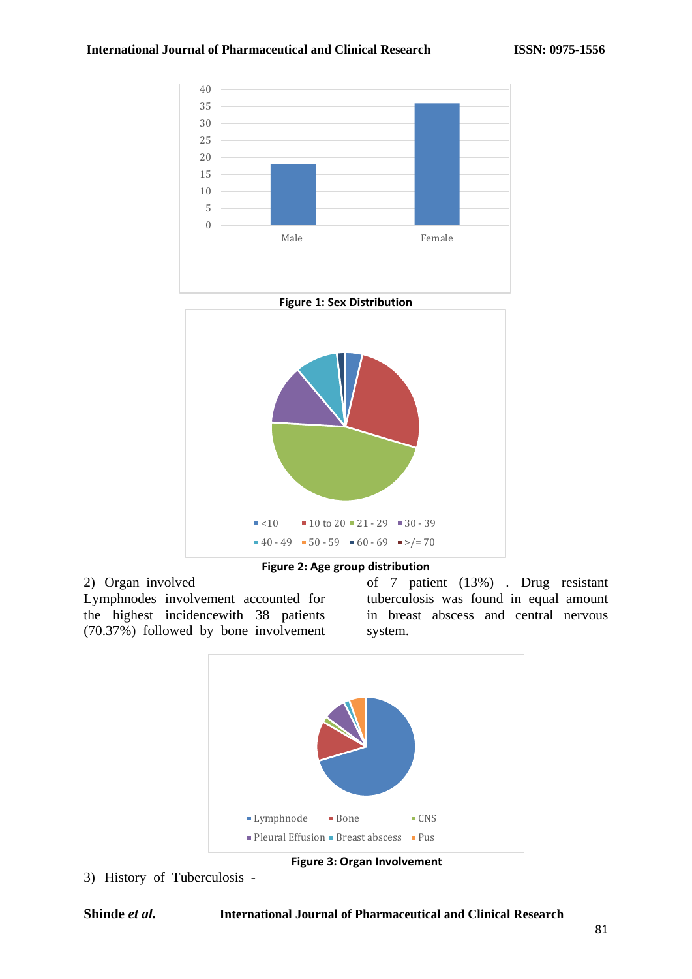



2) Organ involved Lymphnodes involvement accounted for the highest incidencewith 38 patients (70.37%) followed by bone involvement of 7 patient (13%) . Drug resistant tuberculosis was found in equal amount in breast abscess and central nervous system.



**Figure 3: Organ Involvement**

3) History of Tuberculosis -

### **Shinde** *et al.* **International Journal of Pharmaceutical and Clinical Research**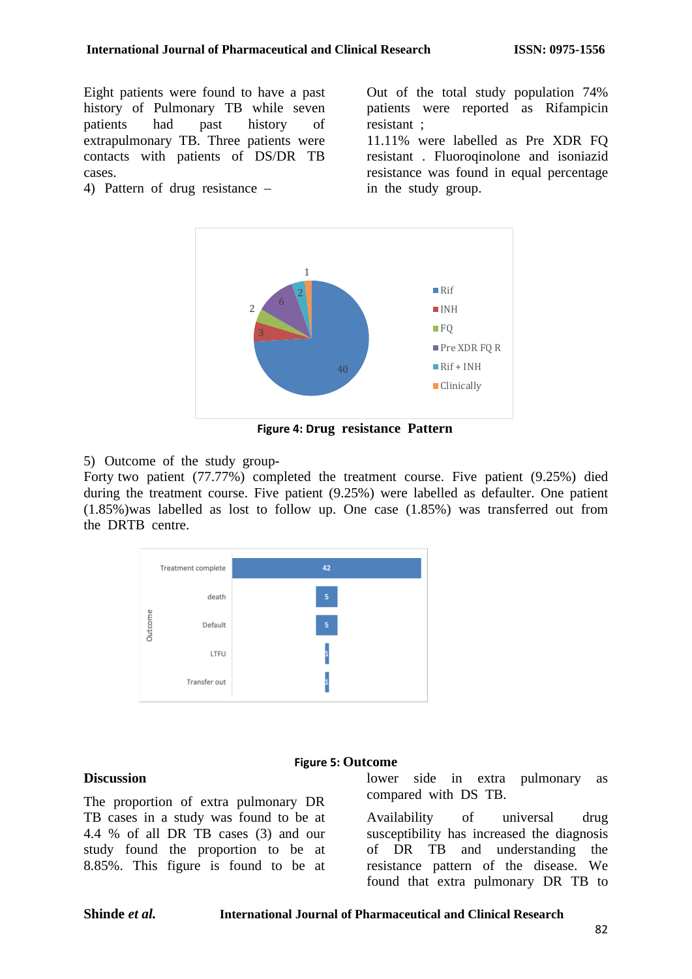Eight patients were found to have a past history of Pulmonary TB while seven patients had past history of extrapulmonary TB. Three patients were contacts with patients of DS/DR TB cases.

4) Pattern of drug resistance –

Out of the total study population 74% patients were reported as Rifampicin resistant ;

11.11% were labelled as Pre XDR FQ resistant . Fluoroqinolone and isoniazid resistance was found in equal percentage in the study group.



**Figure 4: Drug resistance Pattern**

5) Outcome of the study group-

Forty two patient (77.77%) completed the treatment course. Five patient (9.25%) died during the treatment course. Five patient (9.25%) were labelled as defaulter. One patient (1.85%)was labelled as lost to follow up. One case (1.85%) was transferred out from the DRTB centre.

**Figure 5: Outcome**

| Treatment complete |              | 42 |  |
|--------------------|--------------|----|--|
|                    | death        | 5  |  |
| Outcome            | Default      | 5  |  |
|                    | LTFU         |    |  |
|                    | Transfer out |    |  |

#### **Discussion**

The proportion of extra pulmonary DR TB cases in a study was found to be at 4.4 % of all DR TB cases (3) and our study found the proportion to be at 8.85%. This figure is found to be at lower side in extra pulmonary as compared with DS TB.

Availability of universal drug susceptibility has increased the diagnosis of DR TB and understanding the resistance pattern of the disease. We found that extra pulmonary DR TB to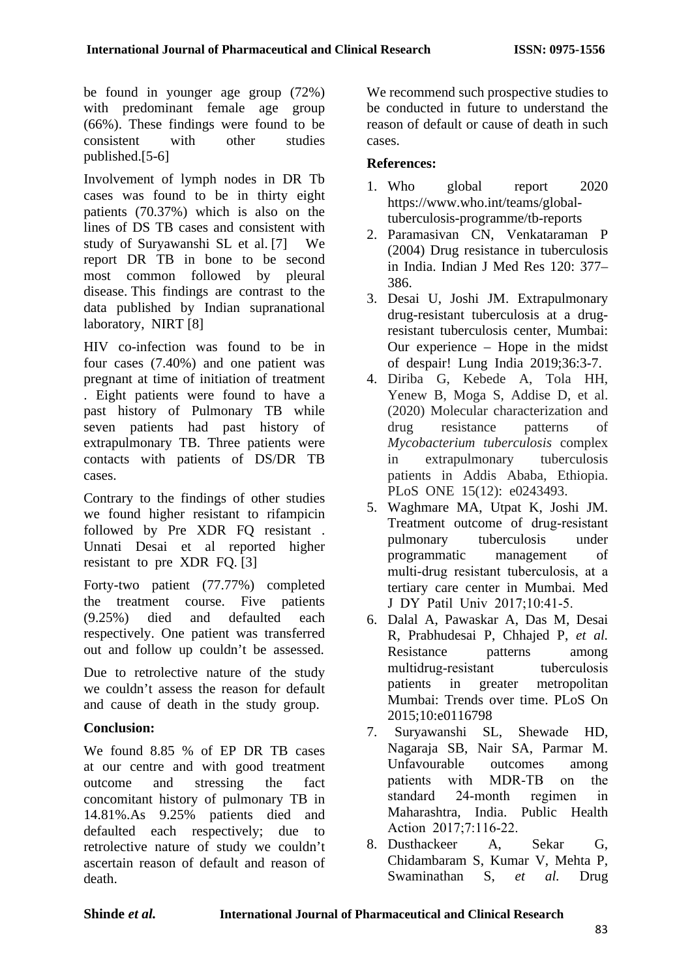be found in younger age group (72%) with predominant female age group (66%). These findings were found to be consistent with other studies published.[5-6]

Involvement of lymph nodes in DR Tb cases was found to be in thirty eight patients (70.37%) which is also on the lines of DS TB cases and consistent with study of Suryawanshi SL et al. [7] We report DR TB in bone to be second most common followed by pleural disease. This findings are contrast to the data published by Indian supranational laboratory, NIRT [8]

HIV co-infection was found to be in four cases (7.40%) and one patient was pregnant at time of initiation of treatment . Eight patients were found to have a past history of Pulmonary TB while seven patients had past history of extrapulmonary TB. Three patients were contacts with patients of DS/DR TB cases.

Contrary to the findings of other studies we found higher resistant to rifampicin followed by Pre XDR FQ resistant . Unnati Desai et al reported higher resistant to pre XDR FQ. [3]

Forty-two patient (77.77%) completed the treatment course. Five patients (9.25%) died and defaulted each respectively. One patient was transferred out and follow up couldn't be assessed.

Due to retrolective nature of the study we couldn't assess the reason for default and cause of death in the study group.

# **Conclusion:**

We found 8.85 % of EP DR TB cases at our centre and with good treatment outcome and stressing the fact concomitant history of pulmonary TB in 14.81%.As 9.25% patients died and defaulted each respectively; due to retrolective nature of study we couldn't ascertain reason of default and reason of death.

We recommend such prospective studies to be conducted in future to understand the reason of default or cause of death in such cases.

# **References:**

- 1. Who global report 2020 https://www.who.int/teams/globaltuberculosis-programme/tb-reports
- 2. Paramasivan CN, Venkataraman P (2004) Drug resistance in tuberculosis in India. Indian J Med Res 120: 377– 386.
- 3. Desai U, Joshi JM. Extrapulmonary drug-resistant tuberculosis at a drugresistant tuberculosis center, Mumbai: Our experience – Hope in the midst of despair! Lung India 2019;36:3-7.
- 4. Diriba G, Kebede A, Tola HH, Yenew B, Moga S, Addise D, et al. (2020) Molecular characterization and drug resistance patterns of *Mycobacterium tuberculosis* complex in extrapulmonary tuberculosis patients in Addis Ababa, Ethiopia. PLoS ONE 15(12): e0243493.
- 5. Waghmare MA, Utpat K, Joshi JM. Treatment outcome of drug-resistant pulmonary tuberculosis under programmatic management of multi‑drug resistant tuberculosis, at a tertiary care center in Mumbai. Med J DY Patil Univ 2017;10:41‑5.
- 6. Dalal A, Pawaskar A, Das M, Desai R, Prabhudesai P, Chhajed P, *et al.*  Resistance patterns among multidrug-resistant tuberculosis patients in greater metropolitan Mumbai: Trends over time. PLoS On 2015;10:e0116798
- 7. Suryawanshi SL, Shewade HD, Nagaraja SB, Nair SA, Parmar M. Unfavourable outcomes among patients with MDR‑TB on the standard 24‑month regimen in Maharashtra, India. Public Health Action 2017;7:116-22.
- 8. Dusthackeer A, Sekar G, Chidambaram S, Kumar V, Mehta P, Swaminathan S, *et al.* Drug